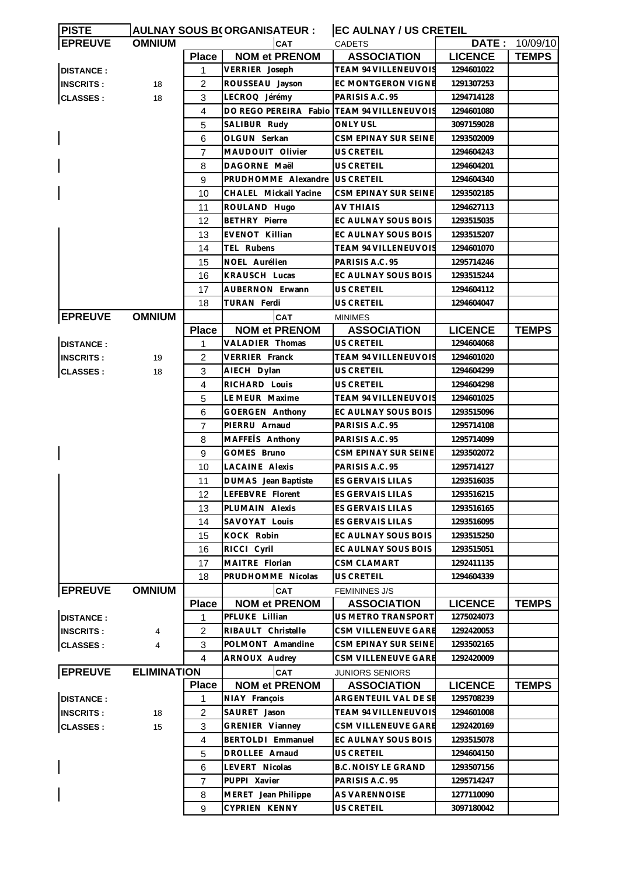| <b>PISTE</b>     |                    |                | <b>AULNAY SOUS B(ORGANISATEUR:</b>         | <b>EC AULNAY / US CRETEIL</b> |                |              |
|------------------|--------------------|----------------|--------------------------------------------|-------------------------------|----------------|--------------|
| <b>EPREUVE</b>   | <b>OMNIUM</b>      |                | CAT                                        | <b>CADETS</b>                 | DATE:          | 10/09/10     |
|                  |                    | <b>Place</b>   | <b>NOM et PRENOM</b>                       | <b>ASSOCIATION</b>            | <b>LICENCE</b> | <b>TEMPS</b> |
| <b>DISTANCE:</b> |                    | 1              | VERRIER Joseph                             | <b>TEAM 94 VILLENEUVOIS</b>   | 1294601022     |              |
| <b>INSCRITS:</b> | 18                 | 2              | ROUSSEAU Jayson                            | EC MONTGERON VIGNE            | 1291307253     |              |
| <b>CLASSES:</b>  | 18                 | 3              | LECROQ Jérémy                              | PARISIS A.C. 95               | 1294714128     |              |
|                  |                    | 4              | DO REGO PEREIRA Fabio TEAM 94 VILLENEUVOIS |                               | 1294601080     |              |
|                  |                    | 5              | SALIBUR Rudy                               | <b>ONLY USL</b>               | 3097159028     |              |
|                  |                    | 6              | OLGUN Serkan                               | CSM EPINAY SUR SEINE          | 1293502009     |              |
|                  |                    | $\overline{7}$ | MAUDOUIT Olivier                           | US CRETEIL                    | 1294604243     |              |
|                  |                    | 8              | DAGORNE Maël                               | <b>US CRETEIL</b>             | 1294604201     |              |
|                  |                    | 9              | PRUDHOMME Alexandre US CRETEIL             |                               | 1294604340     |              |
|                  |                    | 10             | CHALEL Mickail Yacine                      | CSM EPINAY SUR SEINE          | 1293502185     |              |
|                  |                    | 11             | ROULAND Hugo                               | <b>AV THIAIS</b>              | 1294627113     |              |
|                  |                    | 12             | <b>BETHRY Pierre</b>                       | EC AULNAY SOUS BOIS           | 1293515035     |              |
|                  |                    | 13             | EVENOT Killian                             | EC AULNAY SOUS BOIS           | 1293515207     |              |
|                  |                    | 14             | <b>TEL Rubens</b>                          | TEAM 94 VILLENEUVOIS          | 1294601070     |              |
|                  |                    | 15             | NOEL Aurélien                              | PARISIS A.C. 95               | 1295714246     |              |
|                  |                    | 16             | KRAUSCH Lucas                              | EC AULNAY SOUS BOIS           | 1293515244     |              |
|                  |                    |                |                                            |                               |                |              |
|                  |                    | 17             | <b>AUBERNON Erwann</b>                     | US CRETEIL                    | 1294604112     |              |
|                  |                    | 18             | TURAN Ferdi                                | <b>US CRETEIL</b>             | 1294604047     |              |
| <b>EPREUVE</b>   | <b>OMNIUM</b>      |                | <b>CAT</b>                                 | <b>MINIMES</b>                |                |              |
|                  |                    | <b>Place</b>   | <b>NOM et PRENOM</b>                       | <b>ASSOCIATION</b>            | <b>LICENCE</b> | <b>TEMPS</b> |
| <b>DISTANCE:</b> |                    | 1              | VALADIER Thomas                            | US CRETEIL                    | 1294604068     |              |
| <b>INSCRITS:</b> | 19                 | 2              | VERRIER Franck                             | <b>TEAM 94 VILLENEUVOIS</b>   | 1294601020     |              |
| <b>CLASSES:</b>  | 18                 | 3              | AIECH Dylan                                | <b>US CRETEIL</b>             | 1294604299     |              |
|                  |                    | $\overline{4}$ | RICHARD Louis                              | US CRETEIL                    | 1294604298     |              |
|                  |                    | 5              | LE MEUR Maxime                             | TEAM 94 VILLENEUVOIS          | 1294601025     |              |
|                  |                    | 6              | GOERGEN Anthony                            | EC AULNAY SOUS BOIS           | 1293515096     |              |
|                  |                    | 7              | PIERRU Arnaud                              | PARISIS A.C. 95               | 1295714108     |              |
|                  |                    | 8              | MAFFEIS Anthony                            | PARISIS A.C. 95               | 1295714099     |              |
|                  |                    | 9              | GOMES Bruno                                | CSM EPINAY SUR SEINE          | 1293502072     |              |
|                  |                    | 10             | <b>LACAINE Alexis</b>                      | PARISIS A.C. 95               | 1295714127     |              |
|                  |                    | 11             | DUMAS Jean Baptiste                        | ES GERVAIS LILAS              | 1293516035     |              |
|                  |                    | 12             | LEFEBVRE Florent                           | ES GERVAIS LILAS              | 1293516215     |              |
|                  |                    | 13             | PLUMAIN Alexis                             | ES GERVAIS LILAS              | 1293516165     |              |
|                  |                    | 14             | SAVOYAT Louis                              | ES GERVAIS LILAS              | 1293516095     |              |
|                  |                    | 15             | KOCK Robin                                 | EC AULNAY SOUS BOIS           | 1293515250     |              |
|                  |                    | 16             | RICCI Cyril                                | EC AULNAY SOUS BOIS           | 1293515051     |              |
|                  |                    | 17             | MAITRE Florian                             | CSM CLAMART                   | 1292411135     |              |
|                  |                    | 18             | PRUDHOMME Nicolas                          | US CRETEIL                    | 1294604339     |              |
| <b>EPREUVE</b>   | <b>OMNIUM</b>      |                | <b>CAT</b>                                 | <b>FEMININES J/S</b>          |                |              |
|                  |                    | <b>Place</b>   | <b>NOM et PRENOM</b>                       | <b>ASSOCIATION</b>            | <b>LICENCE</b> | <b>TEMPS</b> |
| <b>DISTANCE:</b> |                    | 1              | PFLUKE Lillian                             | US METRO TRANSPORT            | 1275024073     |              |
| <b>INSCRITS:</b> | 4                  | $\overline{c}$ | RIBAULT Christelle                         | CSM VILLENEUVE GARE           | 1292420053     |              |
| <b>CLASSES:</b>  | 4                  | 3              | POLMONT Amandine                           | CSM EPINAY SUR SEINE          | 1293502165     |              |
|                  |                    | $\overline{4}$ | ARNOUX Audrey                              | CSM VILLENEUVE GARE           | 1292420009     |              |
| <b>EPREUVE</b>   | <b>ELIMINATION</b> |                | <b>CAT</b>                                 |                               |                |              |
|                  |                    | <b>Place</b>   | <b>NOM et PRENOM</b>                       | <b>JUNIORS SENIORS</b>        | <b>LICENCE</b> | <b>TEMPS</b> |
|                  |                    |                |                                            | <b>ASSOCIATION</b>            |                |              |
| <b>DISTANCE:</b> |                    | 1              | NIAY François                              | ARGENTEUIL VAL DE SE          | 1295708239     |              |
| <b>INSCRITS:</b> | 18                 | 2              | SAURET Jason                               | TEAM 94 VILLENEUVOIS          | 1294601008     |              |
| <b>CLASSES:</b>  | 15                 | 3              | GRENIER Vianney                            | CSM VILLENEUVE GARE           | 1292420169     |              |
|                  |                    | $\overline{4}$ | BERTOLDI Emmanuel                          | EC AULNAY SOUS BOIS           | 1293515078     |              |
|                  |                    | 5              | DROLLEE Arnaud                             | US CRETEIL                    | 1294604150     |              |
|                  |                    | 6              | LEVERT Nicolas                             | <b>B.C. NOISY LE GRAND</b>    | 1293507156     |              |
|                  |                    | 7              | PUPPI Xavier                               | PARISIS A.C. 95               | 1295714247     |              |
|                  |                    | 8              | MERET Jean Philippe                        | AS VARENNOISE                 | 1277110090     |              |
|                  |                    | 9              | CYPRIEN KENNY                              | US CRETEIL                    | 3097180042     |              |